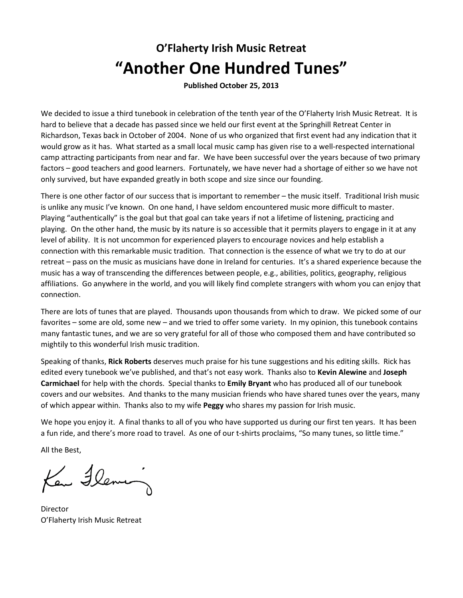# **O'Flaherty Irish Music Retreat "Another One Hundred Tunes"**

**Published October 25, 2013** 

We decided to issue a third tunebook in celebration of the tenth year of the O'Flaherty Irish Music Retreat. It is hard to believe that a decade has passed since we held our first event at the Springhill Retreat Center in Richardson, Texas back in October of 2004. None of us who organized that first event had any indication that it would grow as it has. What started as a small local music camp has given rise to a well-respected international camp attracting participants from near and far. We have been successful over the years because of two primary factors – good teachers and good learners. Fortunately, we have never had a shortage of either so we have not only survived, but have expanded greatly in both scope and size since our founding.

There is one other factor of our success that is important to remember – the music itself. Traditional Irish music is unlike any music I've known. On one hand, I have seldom encountered music more difficult to master. Playing "authentically" is the goal but that goal can take years if not a lifetime of listening, practicing and playing. On the other hand, the music by its nature is so accessible that it permits players to engage in it at any level of ability. It is not uncommon for experienced players to encourage novices and help establish a connection with this remarkable music tradition. That connection is the essence of what we try to do at our retreat – pass on the music as musicians have done in Ireland for centuries. It's a shared experience because the music has a way of transcending the differences between people, e.g., abilities, politics, geography, religious affiliations. Go anywhere in the world, and you will likely find complete strangers with whom you can enjoy that connection.

There are lots of tunes that are played. Thousands upon thousands from which to draw. We picked some of our favorites – some are old, some new – and we tried to offer some variety. In my opinion, this tunebook contains many fantastic tunes, and we are so very grateful for all of those who composed them and have contributed so mightily to this wonderful Irish music tradition.

Speaking of thanks, **Rick Roberts** deserves much praise for his tune suggestions and his editing skills. Rick has edited every tunebook we've published, and that's not easy work. Thanks also to **Kevin Alewine** and **Joseph Carmichael** for help with the chords. Special thanks to **Emily Bryant** who has produced all of our tunebook covers and our websites. And thanks to the many musician friends who have shared tunes over the years, many of which appear within. Thanks also to my wife **Peggy** who shares my passion for Irish music.

We hope you enjoy it. A final thanks to all of you who have supported us during our first ten years. It has been a fun ride, and there's more road to travel. As one of our t-shirts proclaims, "So many tunes, so little time."

All the Best,

Ken Fleming

Director O'Flaherty Irish Music Retreat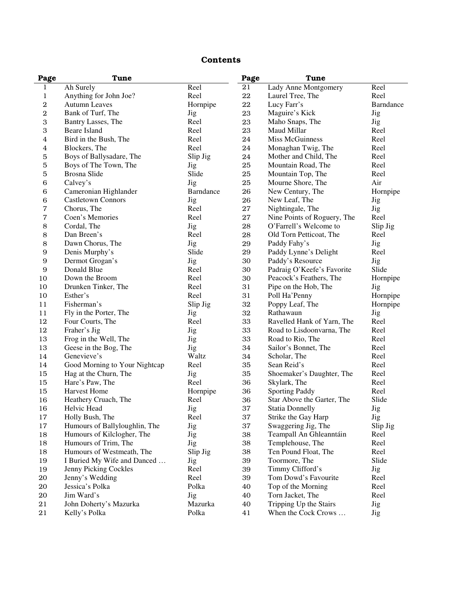#### Contents

| Page             | Tune                          |            | Page      | Tune                        |            |
|------------------|-------------------------------|------------|-----------|-----------------------------|------------|
| 1                | Ah Surely                     | Reel       | 21        | Lady Anne Montgomery        | Reel       |
| 1                | Anything for John Joe?        | Reel       | 22        | Laurel Tree, The            | Reel       |
| $\boldsymbol{2}$ | <b>Autumn Leaves</b>          | Hornpipe   | $\bf{22}$ | Lucy Farr's                 | Barndance  |
| 2                | Bank of Turf, The             | <b>Jig</b> | 23        | Maguire's Kick              | Jig        |
| 3                | Bantry Lasses, The            | Reel       | 23        | Maho Snaps, The             | Jig        |
| 3                | Beare Island                  | Reel       | 23        | Maud Millar                 | Reel       |
| 4                | Bird in the Bush, The         | Reel       | 24        | Miss McGuinness             | Reel       |
| 4                | Blockers, The                 | Reel       | 24        | Monaghan Twig, The          | Reel       |
| 5                | Boys of Ballysadare, The      | Slip Jig   | 24        | Mother and Child, The       | Reel       |
| 5                | Boys of The Town, The         | <b>Jig</b> | $\bf 25$  | Mountain Road, The          | Reel       |
| 5                | Brosna Slide                  | Slide      | $\bf 25$  | Mountain Top, The           | Reel       |
| 6                | Calvey's                      | <b>Jig</b> | $\bf 25$  | Mourne Shore, The           | Air        |
| 6                | Cameronian Highlander         | Barndance  | 26        | New Century, The            | Hornpipe   |
| 6                | <b>Castletown Connors</b>     | <b>Jig</b> | 26        | New Leaf, The               | <b>Jig</b> |
| 7                | Chorus, The                   | Reel       | 27        | Nightingale, The            | <b>Jig</b> |
| 7                | Coen's Memories               | Reel       | 27        | Nine Points of Roguery, The | Reel       |
| 8                | Cordal, The                   | <b>Jig</b> | 28        | O'Farrell's Welcome to      | Slip Jig   |
| 8                | Dan Breen's                   | Reel       | 28        | Old Torn Petticoat, The     | Reel       |
| 8                | Dawn Chorus, The              | Jig        | 29        | Paddy Fahy's                | <b>Jig</b> |
| $\boldsymbol{9}$ | Denis Murphy's                | Slide      | 29        | Paddy Lynne's Delight       | Reel       |
| $\boldsymbol{9}$ | Dermot Grogan's               | <b>Jig</b> | 30        | Paddy's Resource            | Jig        |
| $\overline{9}$   | Donald Blue                   | Reel       | 30        | Padraig O'Keefe's Favorite  | Slide      |
| 10               | Down the Broom                | Reel       | 30        | Peacock's Feathers, The     | Hornpipe   |
| 10               | Drunken Tinker, The           | Reel       | 31        | Pipe on the Hob, The        | <b>Jig</b> |
| 10               | Esther's                      | Reel       | 31        | Poll Ha'Penny               | Hornpipe   |
| 11               | Fisherman's                   | Slip Jig   | 32        | Poppy Leaf, The             | Hornpipe   |
| 11               | Fly in the Porter, The        | <b>Jig</b> | 32        | Rathawaun                   | Jig        |
| 12               | Four Courts, The              | Reel       | 33        | Ravelled Hank of Yarn, The  | Reel       |
| 12               | Fraher's Jig                  | Jig        | 33        | Road to Lisdoonvarna, The   | Reel       |
| 13               | Frog in the Well, The         | <b>Jig</b> | 33        | Road to Rio, The            | Reel       |
| 13               | Geese in the Bog, The         | Jig        | 34        | Sailor's Bonnet, The        | Reel       |
| 14               | Genevieve's                   | Waltz      | 34        | Scholar, The                | Reel       |
| 14               | Good Morning to Your Nightcap | Reel       | 35        | Sean Reid's                 | Reel       |
| 15               | Hag at the Churn, The         | Jig        | 35        | Shoemaker's Daughter, The   | Reel       |
| 15               | Hare's Paw, The               | Reel       | 36        | Skylark, The                | Reel       |
| 15               | <b>Harvest Home</b>           | Hornpipe   | 36        | <b>Sporting Paddy</b>       | Reel       |
| 16               | Heathery Cruach, The          | Reel       | 36        | Star Above the Garter, The  | Slide      |
| 16               | Helvic Head                   | Jig        | 37        | <b>Statia Donnelly</b>      | Jig        |
| 17               | Holly Bush, The               | Reel       | 37        | Strike the Gay Harp         | Jig        |
| 17               | Humours of Ballyloughlin, The | <b>Jig</b> | 37        | Swaggering Jig, The         | Slip Jig   |
| 18               | Humours of Kilclogher, The    | <b>Jig</b> | 38        | Teampall An Ghleanntáin     | Reel       |
| 18               | Humours of Trim, The          | <b>Jig</b> | 38        | Templehouse, The            | Reel       |
| 18               | Humours of Westmeath, The     | Slip Jig   | 38        | Ten Pound Float, The        | Reel       |
| 19               | I Buried My Wife and Danced   | Jig        | 39        | Toormore, The               | Slide      |
| 19               | Jenny Picking Cockles         | Reel       | 39        | Timmy Clifford's            | <b>Jig</b> |
| 20               | Jenny's Wedding               | Reel       | 39        | Tom Dowd's Favourite        | Reel       |
| 20               | Jessica's Polka               | Polka      | 40        | Top of the Morning          | Reel       |
| 20               | Jim Ward's                    | <b>Jig</b> | 40        | Torn Jacket, The            | Reel       |
| 21               | John Doherty's Mazurka        | Mazurka    | 40        | Tripping Up the Stairs      | <b>Jig</b> |
| 21               | Kelly's Polka                 | Polka      | 41        | When the Cock Crows         | <b>Jig</b> |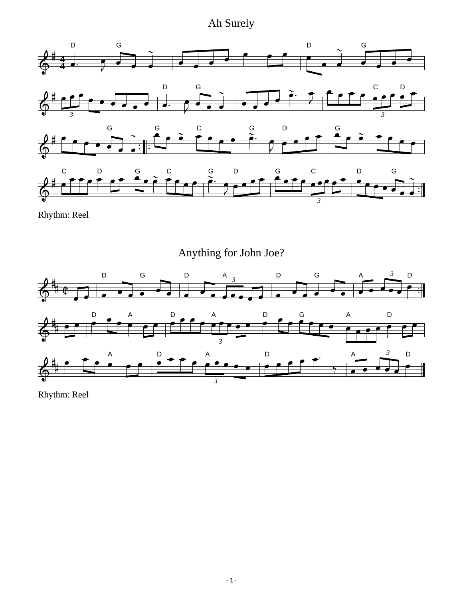## Ah Surely







Rhythm: Reel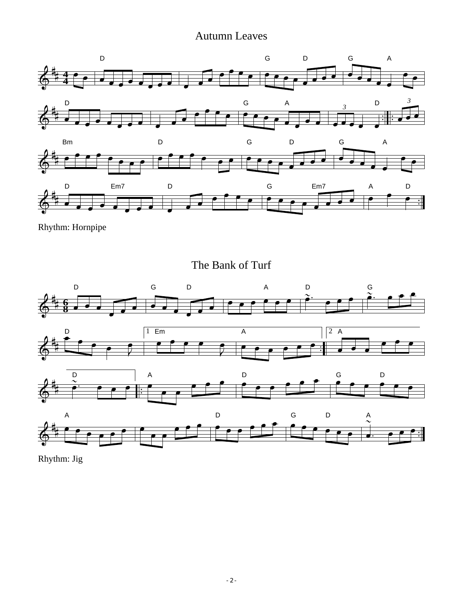#### Autumn Leaves



Rhythm: Hornpipe

The Bank of Turf



Rhythm: Jig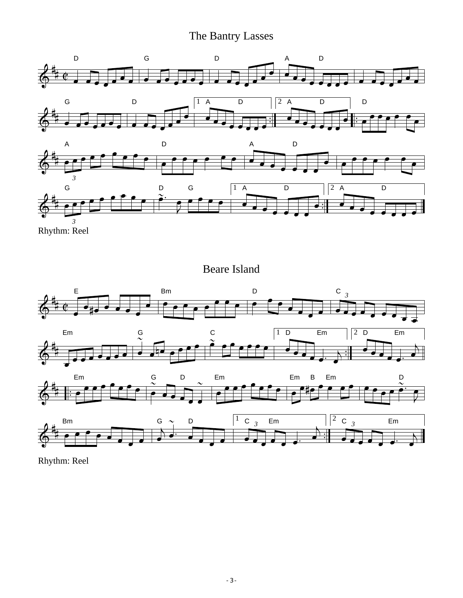## The Bantry Lasses



Rhythm: Reel

Beare Island



Rhythm: Reel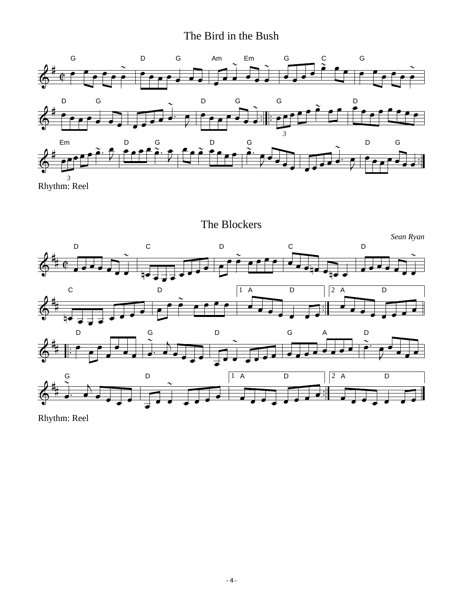### The Bird in the Bush



Rhythm: Reel

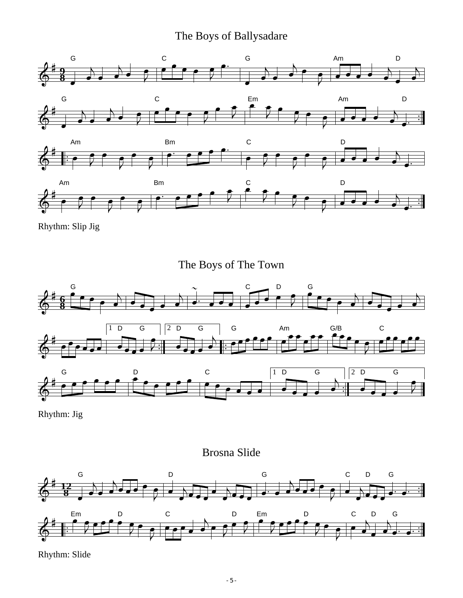### The Boys of Ballysadare





Rhythm: Slip Jig





Rhythm: Jig

#### Brosna Slide



Rhythm: Slide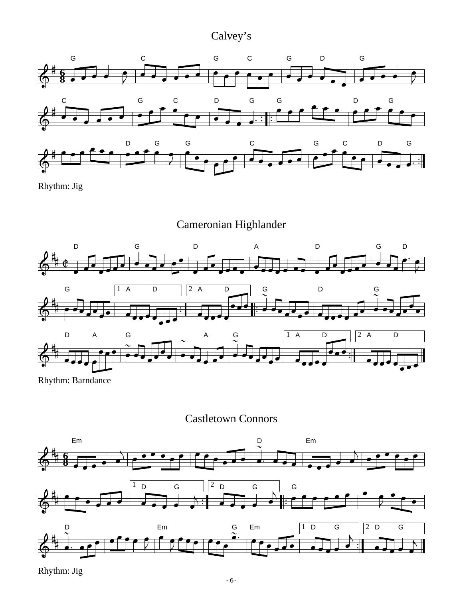### Calvey's



Rhythm: Jig

Cameronian Highlander



Rhythm: Barndance

Castletown Connors



Rhythm: Jig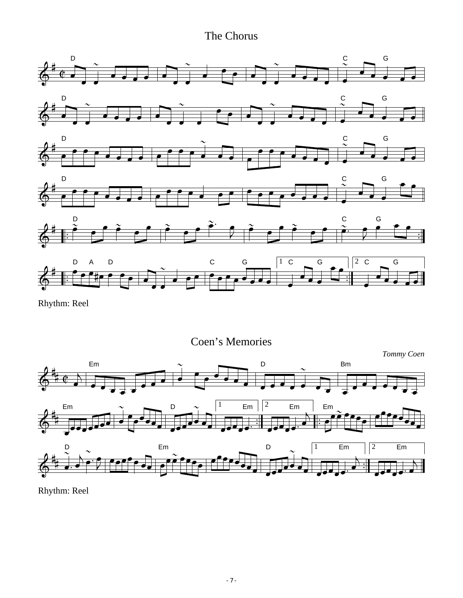### The Chorus



Rhythm: Reel

Coen's Memories

*Tommy Coen* Em  $\sim$  D Bm  $\overrightarrow{A}$ Em  $\sim$   $\qquad$  D  $\sim$   $\qquad$   $\mid$   $\mid$  Em  $\mid$   $\mid$  Em  $\mid$  Em  $\vec{A}$  $\overrightarrow{\phantom{a}}$ D Em D Em Em 1 2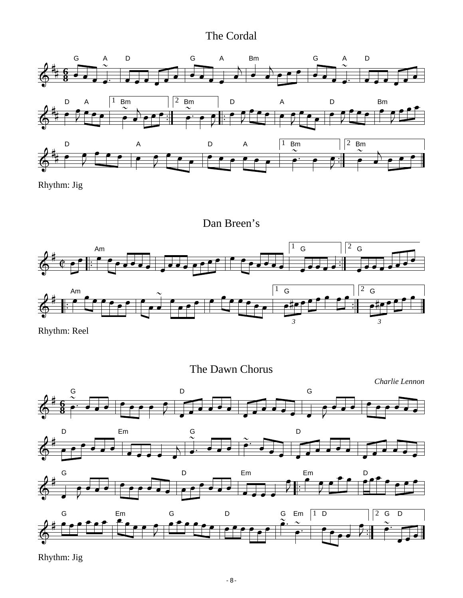### The Cordal



Rhythm: Jig

Dan Breen's



Rhythm: Reel

The Dawn Chorus



Rhythm: Jig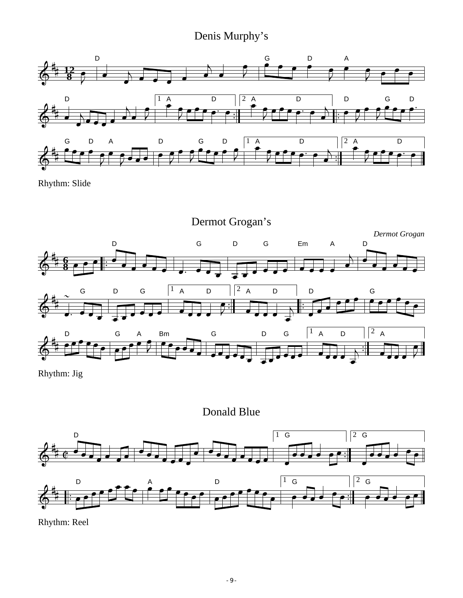### Denis Murphy's



Rhythm: Slide



Rhythm: Jig

Donald Blue



Rhythm: Reel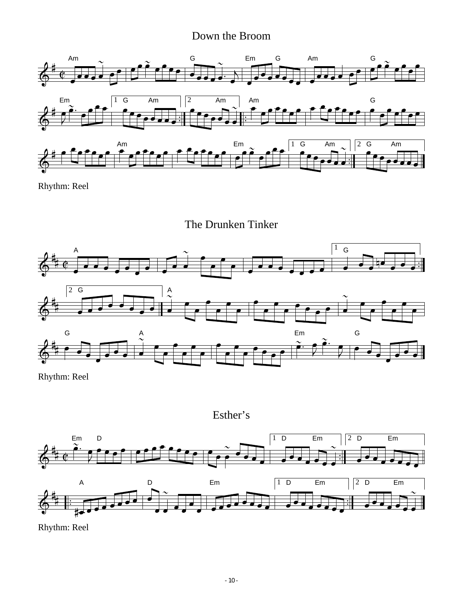#### Down the Broom





Rhythm: Reel

The Drunken Tinker



Rhythm: Reel

Esther's

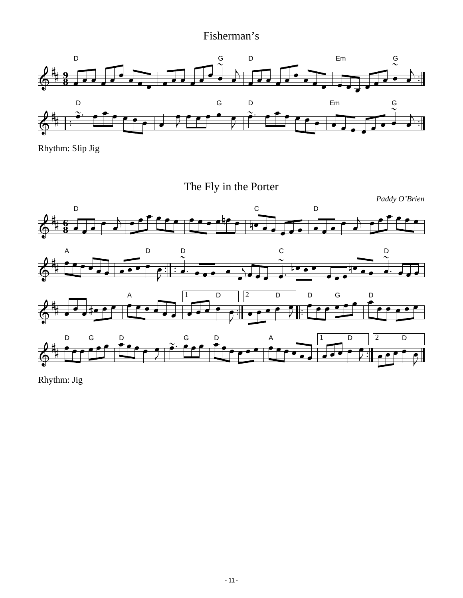### Fisherman's



Rhythm: Slip Jig



Rhythm: Jig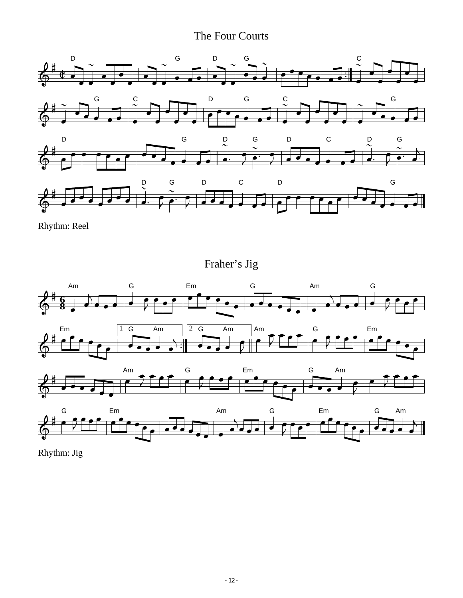### The Four Courts





Rhythm: Jig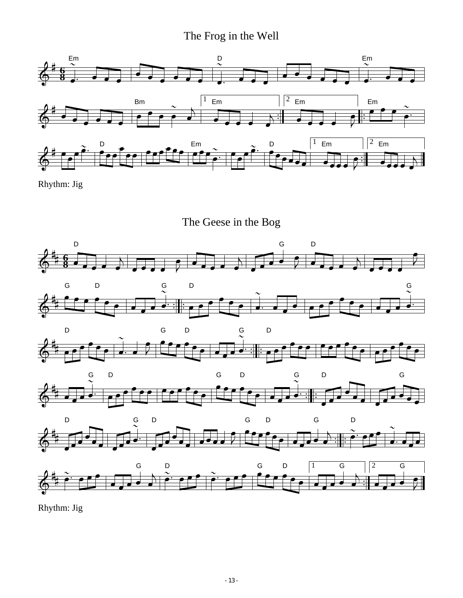### The Frog in the Well



Rhythm: Jig

The Geese in the Bog



Rhythm: Jig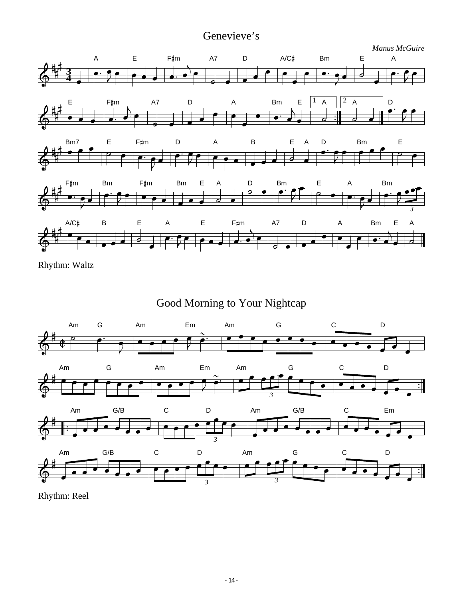### Genevieve's



Rhythm: Waltz

Good Morning to Your Nightcap

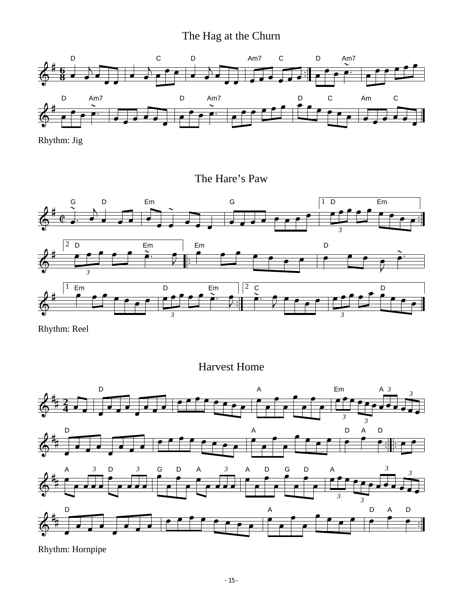### The Hag at the Churn



Rhythm: Jig

The Hare's Paw



Rhythm: Reel

Harvest Home



Rhythm: Hornpipe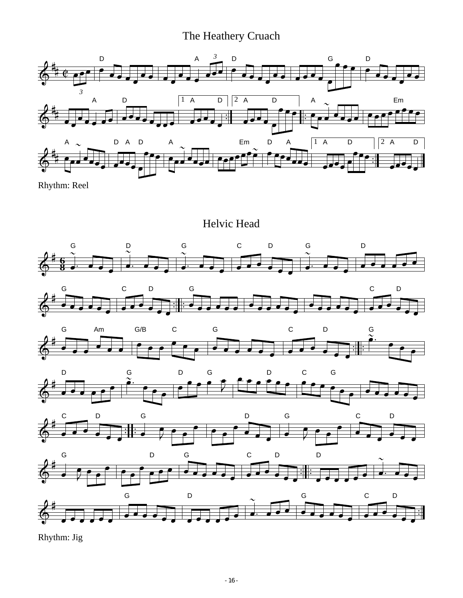#### The Heathery Cruach



Rhythm: Reel

Helvic Head









Rhythm: Jig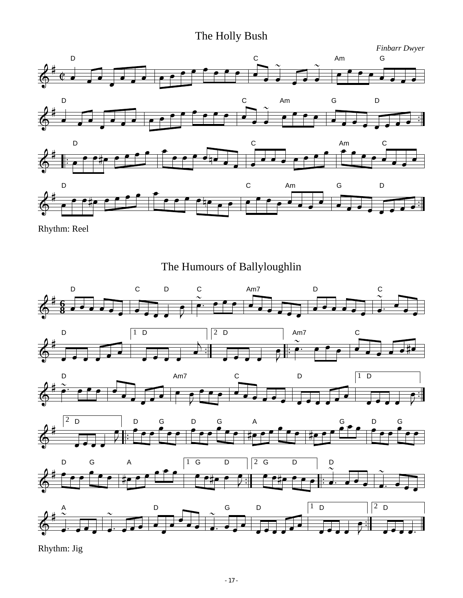### The Holly Bush



Rhythm: Reel

### The Humours of Ballyloughlin



Rhythm: Jig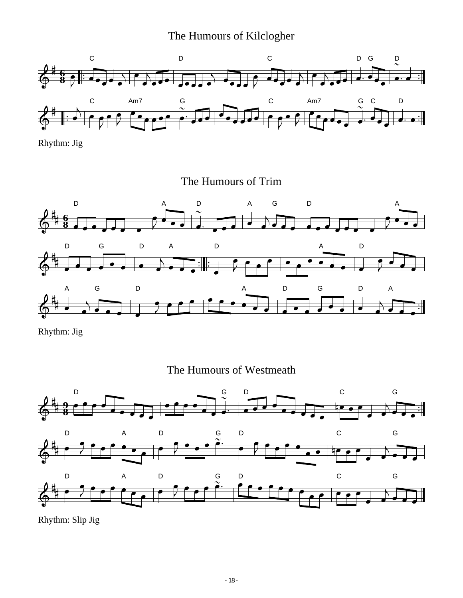### The Humours of Kilclogher



Rhythm: Jig

The Humours of Trim



Rhythm: Jig





Rhythm: Slip Jig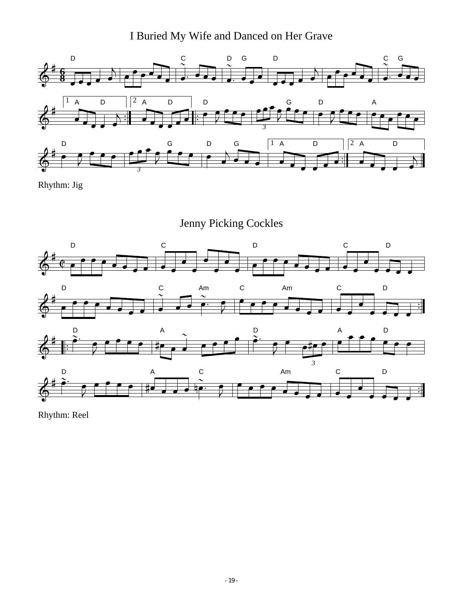I Buried My Wife and Danced on Her Grave



Rhythm: Jig

Jenny Picking Cockles

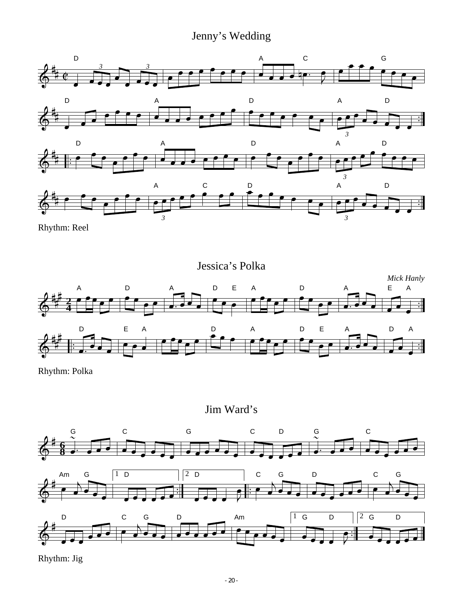### Jenny's Wedding



Jessica's Polka *Mick Hanly* A D A D E A D A E A **4 2** D E A D A D E A D A

Rhythm: Polka

Jim Ward's



Rhythm: Jig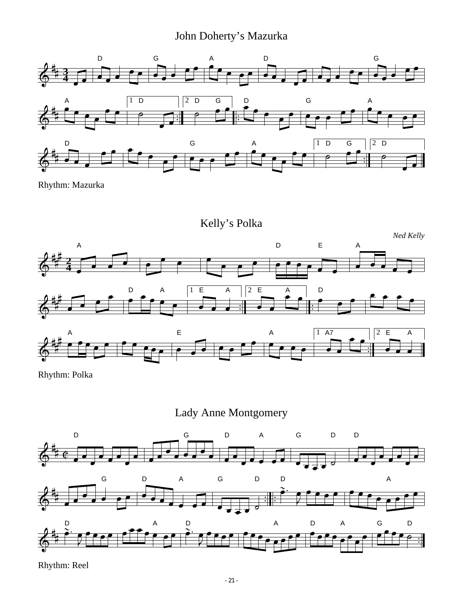## John Doherty's Mazurka



Rhythm: Mazurka



Rhythm: Polka

Lady Anne Montgomery

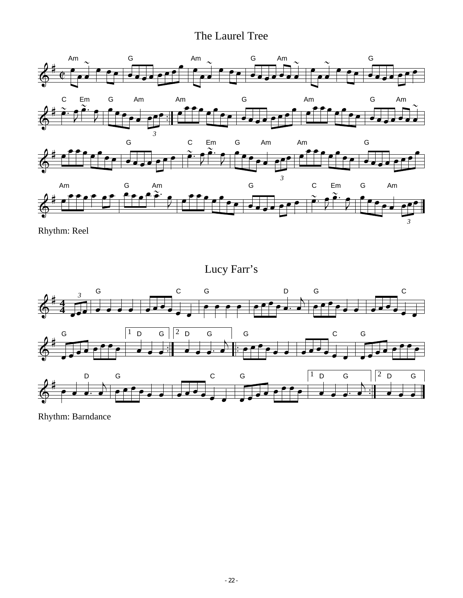### The Laurel Tree



Rhythm: Reel

Lucy Farr's



Rhythm: Barndance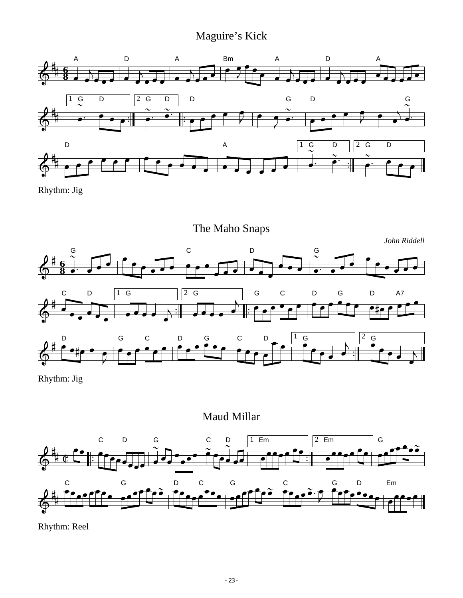### Maguire's Kick



Rhythm: Jig



Rhythm: Jig



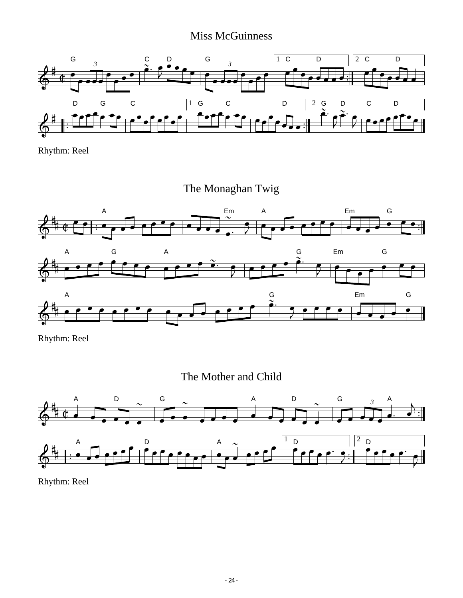### Miss McGuinness



Rhythm: Reel

The Monaghan Twig







Rhythm: Reel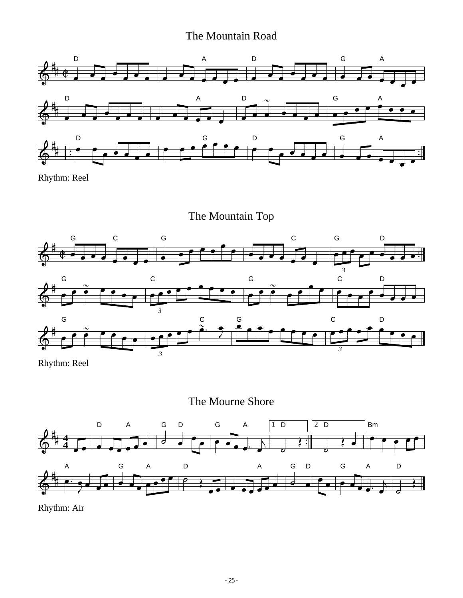### The Mountain Road



Rhythm: Reel

The Mountain Top



Rhythm: Reel





Rhythm: Air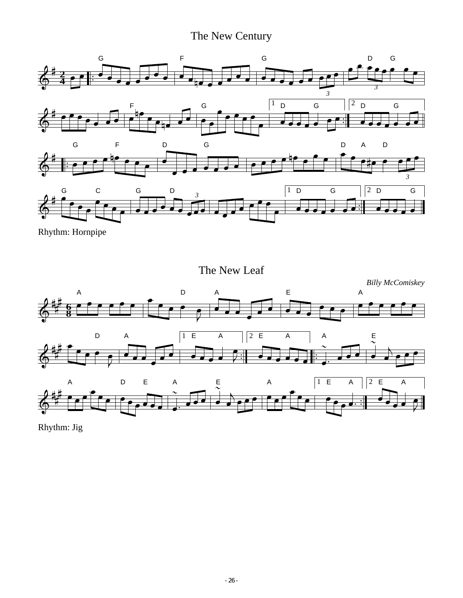### The New Century



Rhythm: Hornpipe

The New Leaf



Rhythm: Jig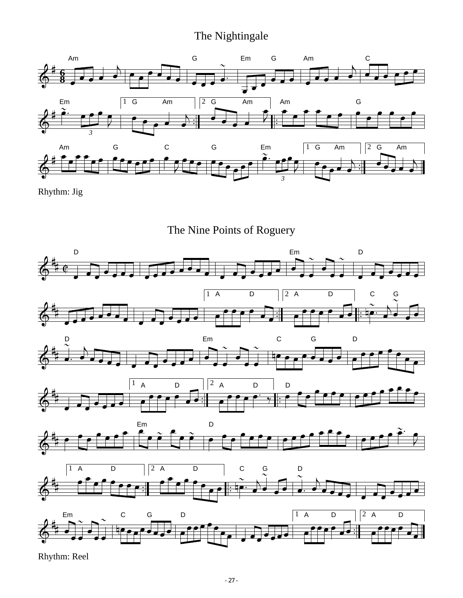#### The Nightingale



Rhythm: Jig

The Nine Points of Roguery

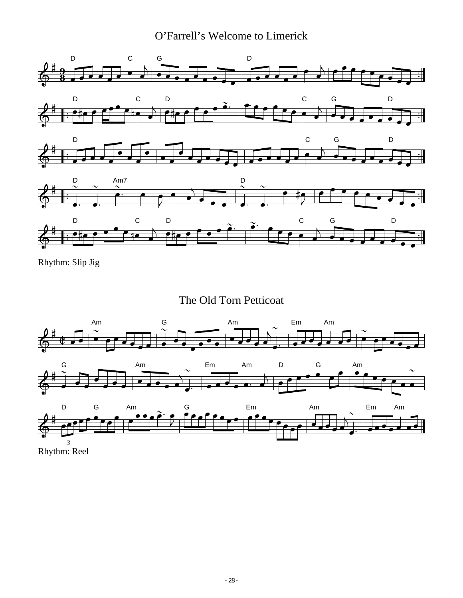O'Farrell's Welcome to Limerick



Rhythm: Slip Jig

The Old Torn Petticoat



Rhythm: Reel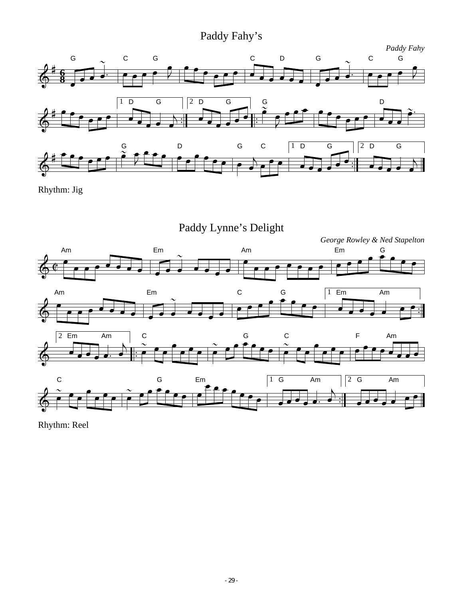### Paddy Fahy's



Rhythm: Jig

Paddy Lynne's Delight

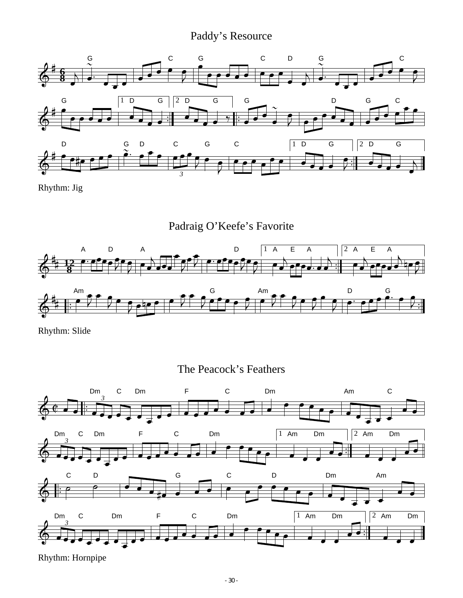### Paddy's Resource



Rhythm: Jig

Padraig O'Keefe's Favorite



Rhythm: Slide

The Peacock's Feathers



Rhythm: Hornpipe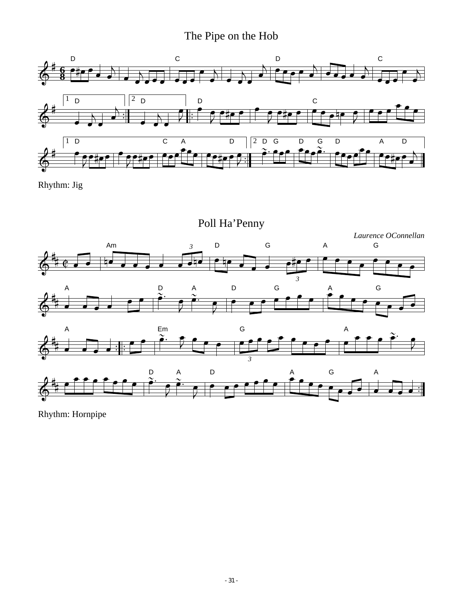### The Pipe on the Hob



Rhythm: Jig



Rhythm: Hornpipe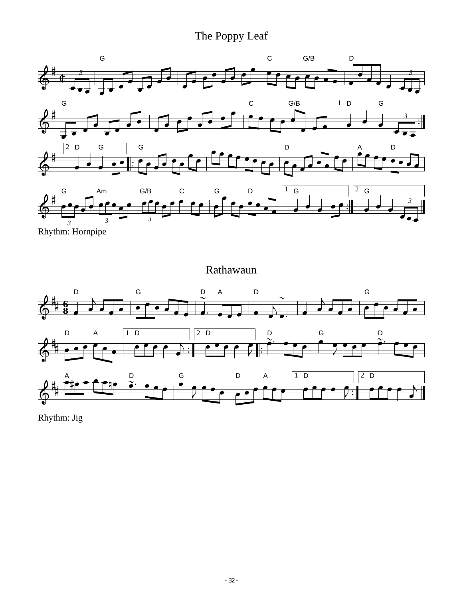### The Poppy Leaf



Rhythm: Hornpipe

Rathawaun



Rhythm: Jig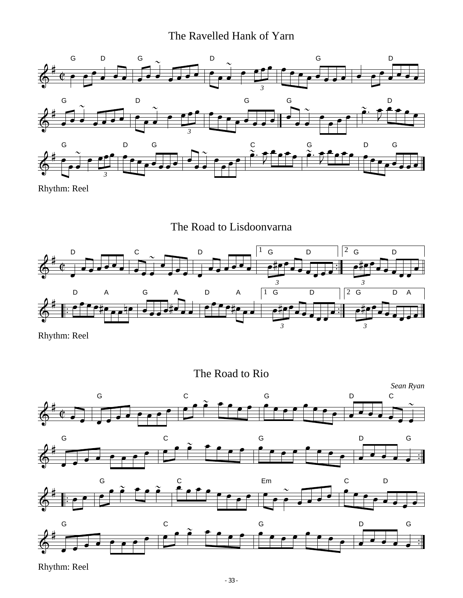### The Ravelled Hank of Yarn



Rhythm: Reel

The Road to Lisdoonvarna



Rhythm: Reel

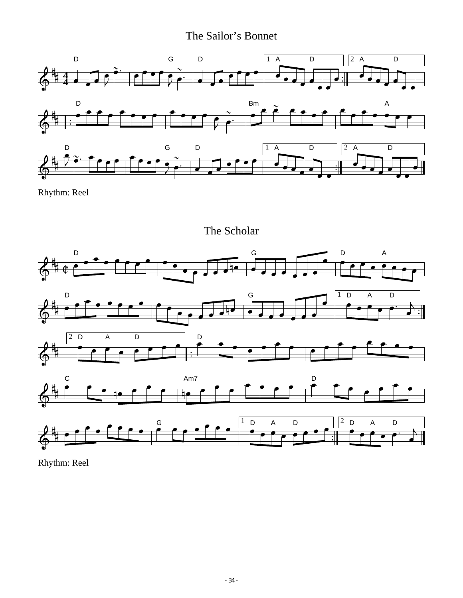### The Sailor's Bonnet



Rhythm: Reel

The Scholar

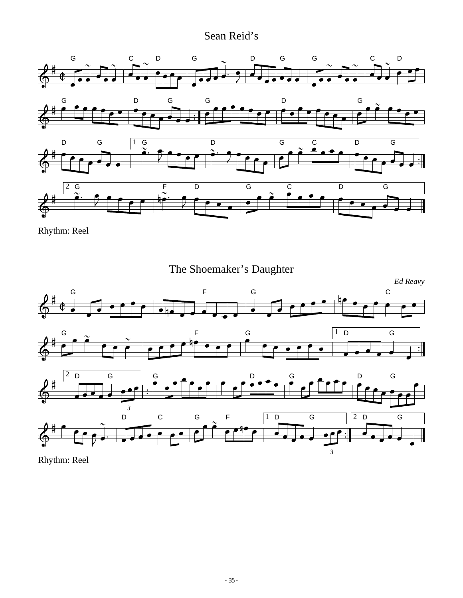### Sean Reid's



Rhythm: Reel



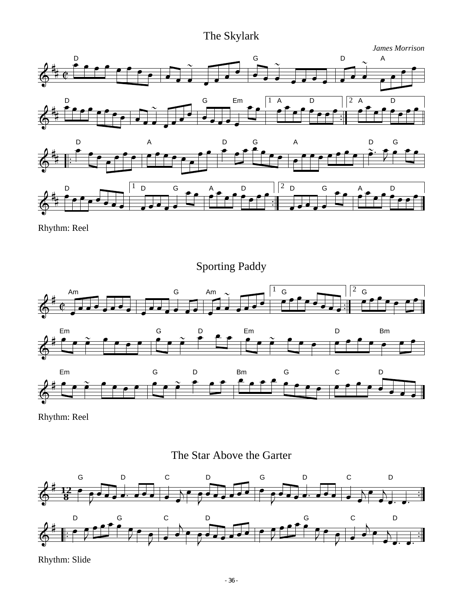### The Skylark



Rhythm: Reel

Sporting Paddy



Rhythm: Reel





Rhythm: Slide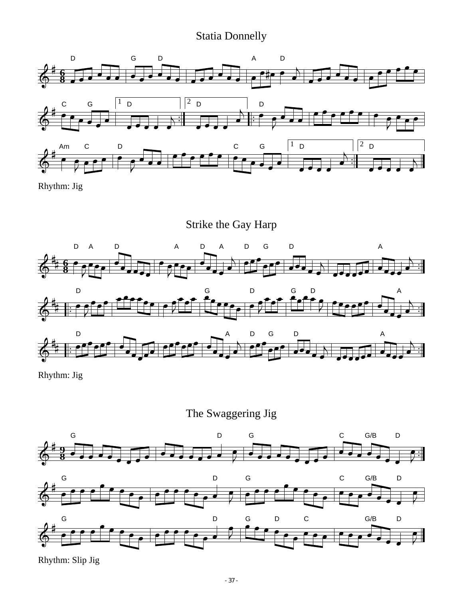#### Statia Donnelly



Rhythm: Jig



Rhythm: Jig

The Swaggering Jig



Rhythm: Slip Jig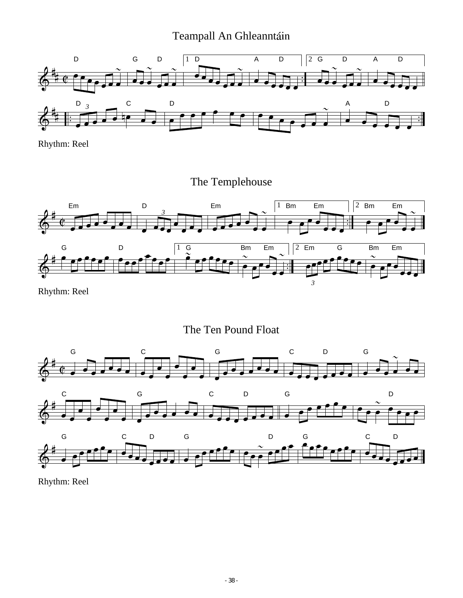### Teampall An Ghleanntáin



Rhythm: Reel

The Templehouse



The Ten Pound Float



Rhythm: Reel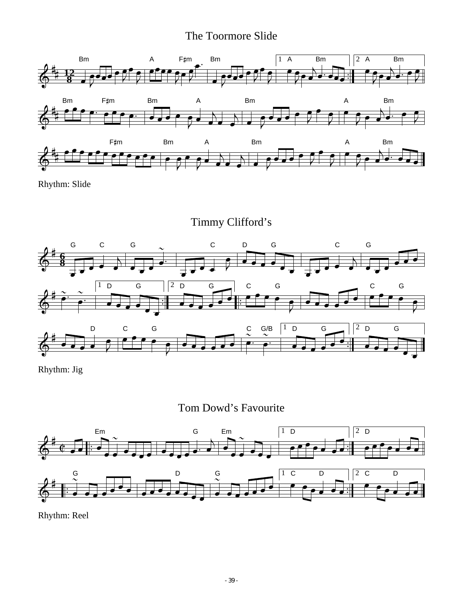#### The Toormore Slide



Rhythm: Slide

Timmy Clifford's



Rhythm: Jig





Rhythm: Reel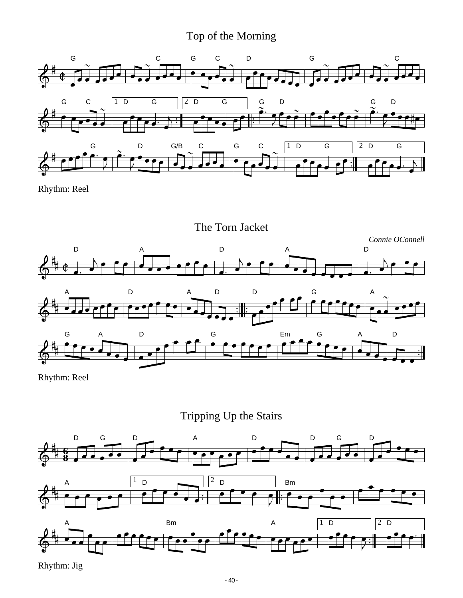### Top of the Morning



Rhythm: Reel



Rhythm: Reel

Tripping Up the Stairs



Rhythm: Jig